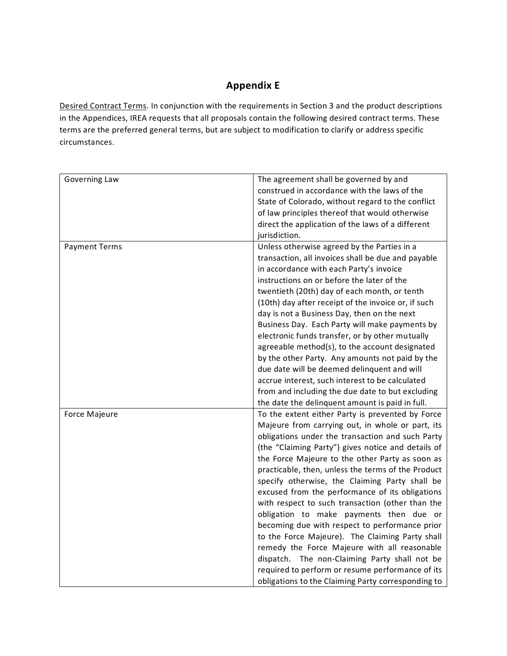## **Appendix E**

Desired Contract Terms. In conjunction with the requirements in Section 3 and the product descriptions in the Appendices, IREA requests that all proposals contain the following desired contract terms. These terms are the preferred general terms, but are subject to modification to clarify or address specific circumstances.

| Governing Law        | The agreement shall be governed by and<br>construed in accordance with the laws of the<br>State of Colorado, without regard to the conflict<br>of law principles thereof that would otherwise<br>direct the application of the laws of a different<br>jurisdiction.                                                                                                                                                                                                                                                                                                                                                                                                                                                                                                                                                                         |
|----------------------|---------------------------------------------------------------------------------------------------------------------------------------------------------------------------------------------------------------------------------------------------------------------------------------------------------------------------------------------------------------------------------------------------------------------------------------------------------------------------------------------------------------------------------------------------------------------------------------------------------------------------------------------------------------------------------------------------------------------------------------------------------------------------------------------------------------------------------------------|
| <b>Payment Terms</b> | Unless otherwise agreed by the Parties in a<br>transaction, all invoices shall be due and payable<br>in accordance with each Party's invoice<br>instructions on or before the later of the<br>twentieth (20th) day of each month, or tenth<br>(10th) day after receipt of the invoice or, if such<br>day is not a Business Day, then on the next<br>Business Day. Each Party will make payments by<br>electronic funds transfer, or by other mutually<br>agreeable method(s), to the account designated<br>by the other Party. Any amounts not paid by the<br>due date will be deemed delinquent and will<br>accrue interest, such interest to be calculated                                                                                                                                                                                |
|                      | from and including the due date to but excluding<br>the date the delinquent amount is paid in full.                                                                                                                                                                                                                                                                                                                                                                                                                                                                                                                                                                                                                                                                                                                                         |
| Force Majeure        | To the extent either Party is prevented by Force<br>Majeure from carrying out, in whole or part, its<br>obligations under the transaction and such Party<br>(the "Claiming Party") gives notice and details of<br>the Force Majeure to the other Party as soon as<br>practicable, then, unless the terms of the Product<br>specify otherwise, the Claiming Party shall be<br>excused from the performance of its obligations<br>with respect to such transaction (other than the<br>obligation to make payments then due or<br>becoming due with respect to performance prior<br>to the Force Majeure). The Claiming Party shall<br>remedy the Force Majeure with all reasonable<br>dispatch. The non-Claiming Party shall not be<br>required to perform or resume performance of its<br>obligations to the Claiming Party corresponding to |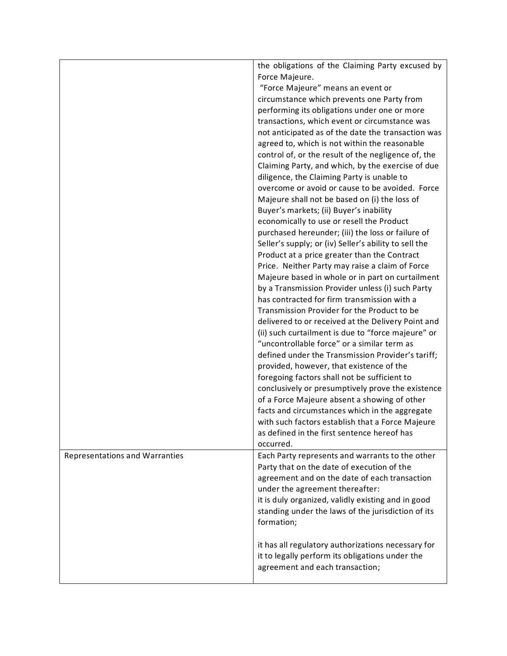|                                       | the obligations of the Claiming Party excused by<br>Force Majeure.                                  |
|---------------------------------------|-----------------------------------------------------------------------------------------------------|
|                                       | "Force Majeure" means an event or                                                                   |
|                                       | circumstance which prevents one Party from                                                          |
|                                       | performing its obligations under one or more                                                        |
|                                       | transactions, which event or circumstance was                                                       |
|                                       | not anticipated as of the date the transaction was                                                  |
|                                       | agreed to, which is not within the reasonable                                                       |
|                                       | control of, or the result of the negligence of, the                                                 |
|                                       | Claiming Party, and which, by the exercise of due                                                   |
|                                       | diligence, the Claiming Party is unable to                                                          |
|                                       | overcome or avoid or cause to be avoided. Force                                                     |
|                                       | Majeure shall not be based on (i) the loss of                                                       |
|                                       | Buyer's markets; (ii) Buyer's inability                                                             |
|                                       | economically to use or resell the Product                                                           |
|                                       | purchased hereunder; (iii) the loss or failure of                                                   |
|                                       | Seller's supply; or (iv) Seller's ability to sell the                                               |
|                                       | Product at a price greater than the Contract                                                        |
|                                       | Price. Neither Party may raise a claim of Force<br>Majeure based in whole or in part on curtailment |
|                                       | by a Transmission Provider unless (i) such Party                                                    |
|                                       | has contracted for firm transmission with a                                                         |
|                                       | Transmission Provider for the Product to be                                                         |
|                                       | delivered to or received at the Delivery Point and                                                  |
|                                       | (ii) such curtailment is due to "force majeure" or                                                  |
|                                       | "uncontrollable force" or a similar term as                                                         |
|                                       | defined under the Transmission Provider's tariff;                                                   |
|                                       | provided, however, that existence of the                                                            |
|                                       | foregoing factors shall not be sufficient to                                                        |
|                                       | conclusively or presumptively prove the existence                                                   |
|                                       | of a Force Majeure absent a showing of other                                                        |
|                                       | facts and circumstances which in the aggregate                                                      |
|                                       | with such factors establish that a Force Majeure                                                    |
|                                       | as defined in the first sentence hereof has                                                         |
|                                       | occurred.                                                                                           |
| <b>Representations and Warranties</b> | Each Party represents and warrants to the other                                                     |
|                                       | Party that on the date of execution of the                                                          |
|                                       | agreement and on the date of each transaction<br>under the agreement thereafter:                    |
|                                       | it is duly organized, validly existing and in good                                                  |
|                                       | standing under the laws of the jurisdiction of its                                                  |
|                                       | formation;                                                                                          |
|                                       |                                                                                                     |
|                                       | it has all regulatory authorizations necessary for                                                  |
|                                       | it to legally perform its obligations under the                                                     |
|                                       | agreement and each transaction;                                                                     |
|                                       |                                                                                                     |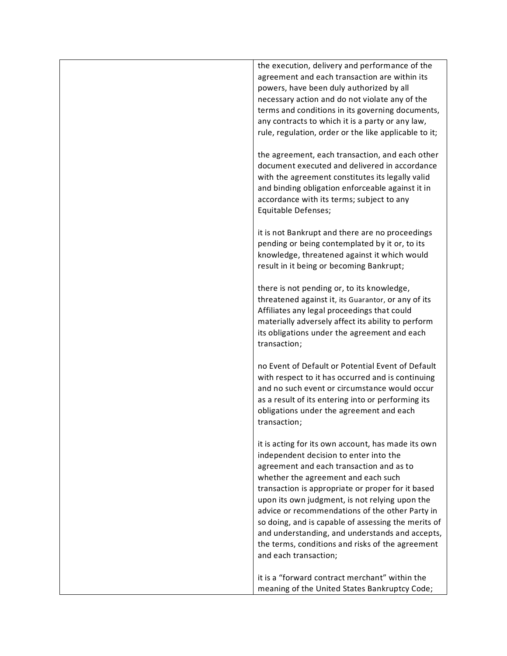| the execution, delivery and performance of the<br>agreement and each transaction are within its<br>powers, have been duly authorized by all<br>necessary action and do not violate any of the<br>terms and conditions in its governing documents,<br>any contracts to which it is a party or any law,<br>rule, regulation, order or the like applicable to it;                                                                                                                                                                   |
|----------------------------------------------------------------------------------------------------------------------------------------------------------------------------------------------------------------------------------------------------------------------------------------------------------------------------------------------------------------------------------------------------------------------------------------------------------------------------------------------------------------------------------|
| the agreement, each transaction, and each other<br>document executed and delivered in accordance<br>with the agreement constitutes its legally valid<br>and binding obligation enforceable against it in<br>accordance with its terms; subject to any<br>Equitable Defenses;                                                                                                                                                                                                                                                     |
| it is not Bankrupt and there are no proceedings<br>pending or being contemplated by it or, to its<br>knowledge, threatened against it which would<br>result in it being or becoming Bankrupt;                                                                                                                                                                                                                                                                                                                                    |
| there is not pending or, to its knowledge,<br>threatened against it, its Guarantor, or any of its<br>Affiliates any legal proceedings that could<br>materially adversely affect its ability to perform<br>its obligations under the agreement and each<br>transaction;                                                                                                                                                                                                                                                           |
| no Event of Default or Potential Event of Default<br>with respect to it has occurred and is continuing<br>and no such event or circumstance would occur<br>as a result of its entering into or performing its<br>obligations under the agreement and each<br>transaction;                                                                                                                                                                                                                                                        |
| it is acting for its own account, has made its own<br>independent decision to enter into the<br>agreement and each transaction and as to<br>whether the agreement and each such<br>transaction is appropriate or proper for it based<br>upon its own judgment, is not relying upon the<br>advice or recommendations of the other Party in<br>so doing, and is capable of assessing the merits of<br>and understanding, and understands and accepts,<br>the terms, conditions and risks of the agreement<br>and each transaction; |
| it is a "forward contract merchant" within the<br>meaning of the United States Bankruptcy Code;                                                                                                                                                                                                                                                                                                                                                                                                                                  |